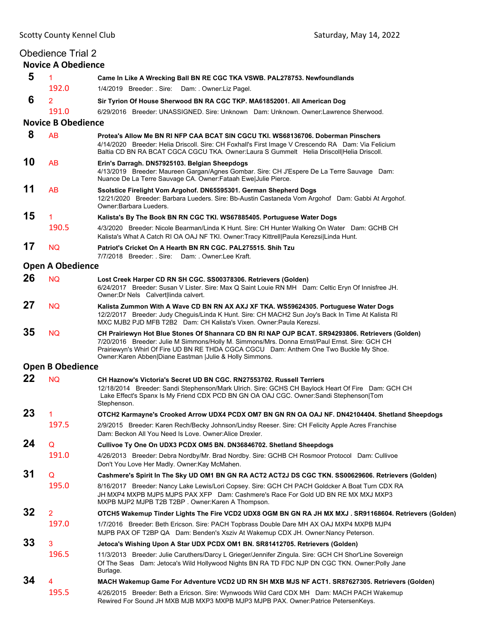|    | <b>Obedience Trial 2</b><br><b>Novice A Obedience</b> |                                                                                                                                                                                                                                                                                                                                                          |
|----|-------------------------------------------------------|----------------------------------------------------------------------------------------------------------------------------------------------------------------------------------------------------------------------------------------------------------------------------------------------------------------------------------------------------------|
| 5  | $\mathbf{1}$                                          | Came In Like A Wrecking Ball BN RE CGC TKA VSWB. PAL278753. Newfoundlands                                                                                                                                                                                                                                                                                |
|    | 192.0                                                 | 1/4/2019 Breeder: Sire: Dam: Owner: Liz Pagel.                                                                                                                                                                                                                                                                                                           |
| 6  | $\overline{2}$                                        | Sir Tyrion Of House Sherwood BN RA CGC TKP. MA61852001. All American Dog                                                                                                                                                                                                                                                                                 |
|    | 191.0                                                 | 6/29/2016 Breeder: UNASSIGNED, Sire: Unknown Dam: Unknown, Owner:Lawrence Sherwood,                                                                                                                                                                                                                                                                      |
|    | <b>Novice B Obedience</b>                             |                                                                                                                                                                                                                                                                                                                                                          |
| 8  | <b>AB</b>                                             | Protea's Allow Me BN RI NFP CAA BCAT SIN CGCU TKI. WS68136706. Doberman Pinschers<br>4/14/2020 Breeder: Helia Driscoll. Sire: CH Foxhall's First Image V Crescendo RA Dam: Via Felicium<br>Baltia CD BN RA BCAT CGCA CGCU TKA. Owner:Laura S Gummelt Helia Driscoll Helia Driscoll.                                                                      |
| 10 | AB                                                    | Erin's Darragh. DN57925103. Belgian Sheepdogs<br>4/13/2019 Breeder: Maureen Gargan/Agnes Gombar. Sire: CH J'Espere De La Terre Sauvage Dam:<br>Nuance De La Terre Sauvage CA. Owner: Fataah Ewe Julie Pierce.                                                                                                                                            |
| 11 | AB                                                    | Ssolstice Firelight Vom Argohof. DN65595301. German Shepherd Dogs<br>12/21/2020 Breeder: Barbara Lueders. Sire: Bb-Austin Castaneda Vom Argohof Dam: Gabbi At Argohof.<br>Owner: Barbara Lueders.                                                                                                                                                        |
| 15 | 1                                                     | Kalista's By The Book BN RN CGC TKI. WS67885405. Portuguese Water Dogs                                                                                                                                                                                                                                                                                   |
|    | 190.5                                                 | 4/3/2020 Breeder: Nicole Bearman/Linda K Hunt. Sire: CH Hunter Walking On Water Dam: GCHB CH<br>Kalista's What A Catch RI OA OAJ NF TKI. Owner:Tracy Kittrell Paula Kerezsi Linda Hunt.                                                                                                                                                                  |
| 17 | <b>NQ</b>                                             | Patriot's Cricket On A Hearth BN RN CGC, PAL275515, Shih Tzu<br>7/7/2018 Breeder: Sire: Dam: Owner:Lee Kraft.                                                                                                                                                                                                                                            |
|    | <b>Open A Obedience</b>                               |                                                                                                                                                                                                                                                                                                                                                          |
| 26 | <b>NQ</b>                                             | Lost Creek Harper CD RN SH CGC. SS00378306. Retrievers (Golden)<br>6/24/2017 Breeder: Susan V Lister. Sire: Max Q Saint Louie RN MH Dam: Celtic Eryn Of Innisfree JH.<br>Owner: Dr Nels Calvert linda calvert.                                                                                                                                           |
| 27 | <b>NQ</b>                                             | Kalista Zummon With A Wave CD BN RN AX AXJ XF TKA. WS59624305. Portuguese Water Dogs<br>12/2/2017 Breeder: Judy Cheguis/Linda K Hunt. Sire: CH MACH2 Sun Joy's Back In Time At Kalista RI<br>MXC MJB2 PJD MFB T2B2 Dam: CH Kalista's Vixen, Owner:Paula Kerezsi,                                                                                         |
| 35 | NQ.                                                   | CH Prairiewyn Hot Blue Stones Of Shannara CD BN RI NAP OJP BCAT. SR94293806. Retrievers (Golden)<br>7/20/2016 Breeder: Julie M Simmons/Holly M. Simmons/Mrs. Donna Ernst/Paul Ernst. Sire: GCH CH<br>Prairiewyn's Whirl Of Fire UD BN RE THDA CGCA CGCU Dam: Anthem One Two Buckle My Shoe.<br>Owner: Karen Abben Diane Eastman   Julie & Holly Simmons. |
|    | <b>Open B Obedience</b>                               |                                                                                                                                                                                                                                                                                                                                                          |
| 22 | <b>NQ</b>                                             | CH Haznow's Victoria's Secret UD BN CGC. RN27553702. Russell Terriers<br>12/18/2014 Breeder: Sandi Stephenson/Mark Ulrich. Sire: GCHS CH Baylock Heart Of Fire Dam: GCH CH<br>Lake Effect's Spanx Is My Friend CDX PCD BN GN OA OAJ CGC. Owner:Sandi Stephenson Tom<br>Stephenson.                                                                       |
| 23 | $\mathbf{1}$                                          | OTCH2 Karmayne's Crooked Arrow UDX4 PCDX OM7 BN GN RN OA OAJ NF. DN42104404. Shetland Sheepdogs                                                                                                                                                                                                                                                          |
|    | 197.5                                                 | 2/9/2015 Breeder: Karen Rech/Becky Johnson/Lindsy Reeser. Sire: CH Felicity Apple Acres Franchise<br>Dam: Beckon All You Need Is Love. Owner: Alice Drexler.                                                                                                                                                                                             |
| 24 | Q                                                     | Cullivoe Ty One On UDX3 PCDX OM5 BN. DN36846702. Shetland Sheepdogs                                                                                                                                                                                                                                                                                      |
|    | 191.0                                                 | 4/26/2013 Breeder: Debra Nordby/Mr. Brad Nordby. Sire: GCHB CH Rosmoor Protocol Dam: Cullivoe<br>Don't You Love Her Madly. Owner: Kay McMahen.                                                                                                                                                                                                           |
| 31 | Q                                                     | Cashmere's Spirit In The Sky UD OM1 BN GN RA ACT2 ACT2J DS CGC TKN. SS00629606. Retrievers (Golden)                                                                                                                                                                                                                                                      |
|    | 195.0                                                 | 8/16/2017 Breeder: Nancy Lake Lewis/Lori Copsey. Sire: GCH CH PACH Goldcker A Boat Turn CDX RA<br>JH MXP4 MXPB MJP5 MJPS PAX XFP Dam: Cashmere's Race For Gold UD BN RE MX MXJ MXP3<br>MXPB MJP2 MJPB T2B T2BP. Owner: Karen A Thompson.                                                                                                                 |
| 32 | $\overline{2}$                                        | OTCH5 Wakemup Tinder Lights The Fire VCD2 UDX8 OGM BN GN RA JH MX MXJ . SR91168604. Retrievers (Golden)                                                                                                                                                                                                                                                  |
|    | 197.0                                                 | 1/7/2016 Breeder: Beth Ericson. Sire: PACH Topbrass Double Dare MH AX OAJ MXP4 MXPB MJP4<br>MJPB PAX OF T2BP QA Dam: Benden's Xsziv At Wakemup CDX JH. Owner: Nancy Peterson.                                                                                                                                                                            |
| 33 | 3                                                     | Jetoca's Wishing Upon A Star UDX PCDX OM1 BN. SR81412705. Retrievers (Golden)                                                                                                                                                                                                                                                                            |
|    | 196.5                                                 | 11/3/2013 Breeder: Julie Caruthers/Darcy L Grieger/Jennifer Zingula. Sire: GCH CH Shor'Line Sovereign<br>Of The Seas Dam: Jetoca's Wild Hollywood Nights BN RA TD FDC NJP DN CGC TKN. Owner: Polly Jane<br>Burlage.                                                                                                                                      |
| 34 | 4                                                     | MACH Wakemup Game For Adventure VCD2 UD RN SH MXB MJS NF ACT1. SR87627305. Retrievers (Golden)                                                                                                                                                                                                                                                           |
|    | 195.5                                                 | 4/26/2015 Breeder: Beth a Ericson. Sire: Wynwoods Wild Card CDX MH Dam: MACH PACH Wakemup<br>Rewired For Sound JH MXB MJB MXP3 MXPB MJP3 MJPB PAX. Owner:Patrice PetersenKeys.                                                                                                                                                                           |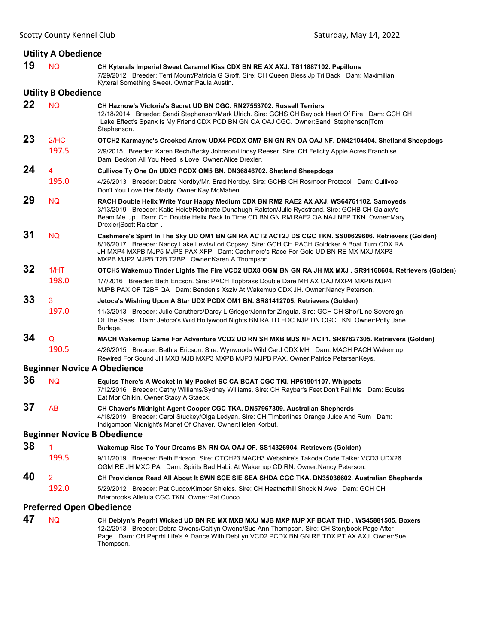|                                 | <b>Utility A Obedience</b> |                                                                                                                                                                                                                                                                                                                                                 |  |  |
|---------------------------------|----------------------------|-------------------------------------------------------------------------------------------------------------------------------------------------------------------------------------------------------------------------------------------------------------------------------------------------------------------------------------------------|--|--|
| 19                              | <b>NQ</b>                  | CH Kyterals Imperial Sweet Caramel Kiss CDX BN RE AX AXJ. TS11887102. Papillons<br>7/29/2012 Breeder: Terri Mount/Patricia G Groff. Sire: CH Queen Bless Jp Tri Back Dam: Maximilian<br>Kyteral Something Sweet. Owner: Paula Austin.                                                                                                           |  |  |
|                                 | <b>Utility B Obedience</b> |                                                                                                                                                                                                                                                                                                                                                 |  |  |
| 22                              | <b>NQ</b>                  | CH Haznow's Victoria's Secret UD BN CGC. RN27553702. Russell Terriers<br>12/18/2014 Breeder: Sandi Stephenson/Mark Ulrich. Sire: GCHS CH Baylock Heart Of Fire Dam: GCH CH<br>Lake Effect's Spanx Is My Friend CDX PCD BN GN OA OAJ CGC. Owner:Sandi Stephenson Tom<br>Stephenson.                                                              |  |  |
| 23                              | 2/HC                       | OTCH2 Karmayne's Crooked Arrow UDX4 PCDX OM7 BN GN RN OA OAJ NF. DN42104404. Shetland Sheepdogs                                                                                                                                                                                                                                                 |  |  |
|                                 | 197.5                      | 2/9/2015 Breeder: Karen Rech/Becky Johnson/Lindsy Reeser. Sire: CH Felicity Apple Acres Franchise<br>Dam: Beckon All You Need Is Love. Owner: Alice Drexler.                                                                                                                                                                                    |  |  |
| 24                              | $\overline{4}$             | Cullivoe Ty One On UDX3 PCDX OM5 BN. DN36846702. Shetland Sheepdogs                                                                                                                                                                                                                                                                             |  |  |
|                                 | 195.0                      | 4/26/2013 Breeder: Debra Nordby/Mr. Brad Nordby. Sire: GCHB CH Rosmoor Protocol Dam: Cullivoe<br>Don't You Love Her Madly. Owner: Kay McMahen.                                                                                                                                                                                                  |  |  |
| 29                              | <b>NQ</b>                  | RACH Double Helix Write Your Happy Medium CDX BN RM2 RAE2 AX AXJ. WS64761102. Samoyeds<br>3/13/2019 Breeder: Katie Heidt/Robinette Dunahugh-Ralston/Julie Rydstrand. Sire: GCHB CH Galaxy's<br>Beam Me Up Dam: CH Double Helix Back In Time CD BN GN RM RAE2 OA NAJ NFP TKN. Owner: Mary<br>Drexler Scott Ralston.                              |  |  |
| 31                              | <b>NQ</b>                  | Cashmere's Spirit In The Sky UD OM1 BN GN RA ACT2 ACT2J DS CGC TKN. SS00629606. Retrievers (Golden)<br>8/16/2017 Breeder: Nancy Lake Lewis/Lori Copsey. Sire: GCH CH PACH Goldcker A Boat Turn CDX RA<br>JH MXP4 MXPB MJP5 MJPS PAX XFP Dam: Cashmere's Race For Gold UD BN RE MX MXJ MXP3<br>MXPB MJP2 MJPB T2B T2BP. Owner: Karen A Thompson. |  |  |
| 32                              | 1/HT                       | OTCH5 Wakemup Tinder Lights The Fire VCD2 UDX8 OGM BN GN RA JH MX MXJ. SR91168604. Retrievers (Golden)                                                                                                                                                                                                                                          |  |  |
|                                 | 198.0                      | 1/7/2016 Breeder: Beth Ericson. Sire: PACH Topbrass Double Dare MH AX OAJ MXP4 MXPB MJP4<br>MJPB PAX OF T2BP QA Dam: Benden's Xsziv At Wakemup CDX JH. Owner:Nancy Peterson.                                                                                                                                                                    |  |  |
| 33                              | 3                          | Jetoca's Wishing Upon A Star UDX PCDX OM1 BN. SR81412705. Retrievers (Golden)                                                                                                                                                                                                                                                                   |  |  |
|                                 | 197.0                      | 11/3/2013 Breeder: Julie Caruthers/Darcy L Grieger/Jennifer Zingula. Sire: GCH CH Shor'Line Sovereign<br>Of The Seas Dam: Jetoca's Wild Hollywood Nights BN RA TD FDC NJP DN CGC TKN. Owner: Polly Jane<br>Burlage.                                                                                                                             |  |  |
| 34                              | Q                          | MACH Wakemup Game For Adventure VCD2 UD RN SH MXB MJS NF ACT1. SR87627305. Retrievers (Golden)                                                                                                                                                                                                                                                  |  |  |
|                                 | 190.5                      | 4/26/2015 Breeder: Beth a Ericson. Sire: Wynwoods Wild Card CDX MH Dam: MACH PACH Wakemup<br>Rewired For Sound JH MXB MJB MXP3 MXPB MJP3 MJPB PAX. Owner:Patrice PetersenKeys.                                                                                                                                                                  |  |  |
|                                 |                            | <b>Beginner Novice A Obedience</b>                                                                                                                                                                                                                                                                                                              |  |  |
| 36                              | <b>NQ</b>                  | Equiss There's A Wocket In My Pocket SC CA BCAT CGC TKI. HP51901107. Whippets<br>7/12/2016 Breeder: Cathy Williams/Sydney Williams. Sire: CH Raybar's Feet Don't Fail Me Dam: Equiss<br>Eat Mor Chikin. Owner: Stacy A Staeck.                                                                                                                  |  |  |
| 37                              | AB                         | CH Chaver's Midnight Agent Cooper CGC TKA. DN57967309. Australian Shepherds<br>4/18/2019 Breeder: Carol Stuckey/Olga Ledyan. Sire: CH Timberlines Orange Juice And Rum Dam:<br>Indigomoon Midnight's Monet Of Chaver. Owner: Helen Korbut.                                                                                                      |  |  |
|                                 |                            | <b>Beginner Novice B Obedience</b>                                                                                                                                                                                                                                                                                                              |  |  |
| 38                              | 1                          | Wakemup Rise To Your Dreams BN RN OA OAJ OF. SS14326904. Retrievers (Golden)                                                                                                                                                                                                                                                                    |  |  |
|                                 | 199.5                      | 9/11/2019 Breeder: Beth Ericson. Sire: OTCH23 MACH3 Webshire's Takoda Code Talker VCD3 UDX26<br>OGM RE JH MXC PA Dam: Spirits Bad Habit At Wakemup CD RN. Owner: Nancy Peterson.                                                                                                                                                                |  |  |
| 40                              | $\overline{2}$             | CH Providence Read All About It SWN SCE SIE SEA SHDA CGC TKA. DN35036602. Australian Shepherds                                                                                                                                                                                                                                                  |  |  |
|                                 | 192.0                      | 5/29/2012 Breeder: Pat Cuoco/Kimber Shields, Sire: CH Heatherhill Shock N Awe Dam: GCH CH<br>Briarbrooks Alleluia CGC TKN. Owner:Pat Cuoco.                                                                                                                                                                                                     |  |  |
| <b>Preferred Open Obedience</b> |                            |                                                                                                                                                                                                                                                                                                                                                 |  |  |
| <b>A7</b>                       |                            |                                                                                                                                                                                                                                                                                                                                                 |  |  |

**47** NQ **CH Deblyn's Peprhl Wicked UD BN RE MX MXB MXJ MJB MXP MJP XF BCAT THD . WS45881505. Boxers** 12/2/2013 Breeder: Debra Owens/Caitlyn Owens/Sue Ann Thompson. Sire: CH Storybook Page After Page Dam: CH Peprhl Life's A Dance With DebLyn VCD2 PCDX BN GN RE TDX PT AX AXJ. Owner:Sue Thompson.